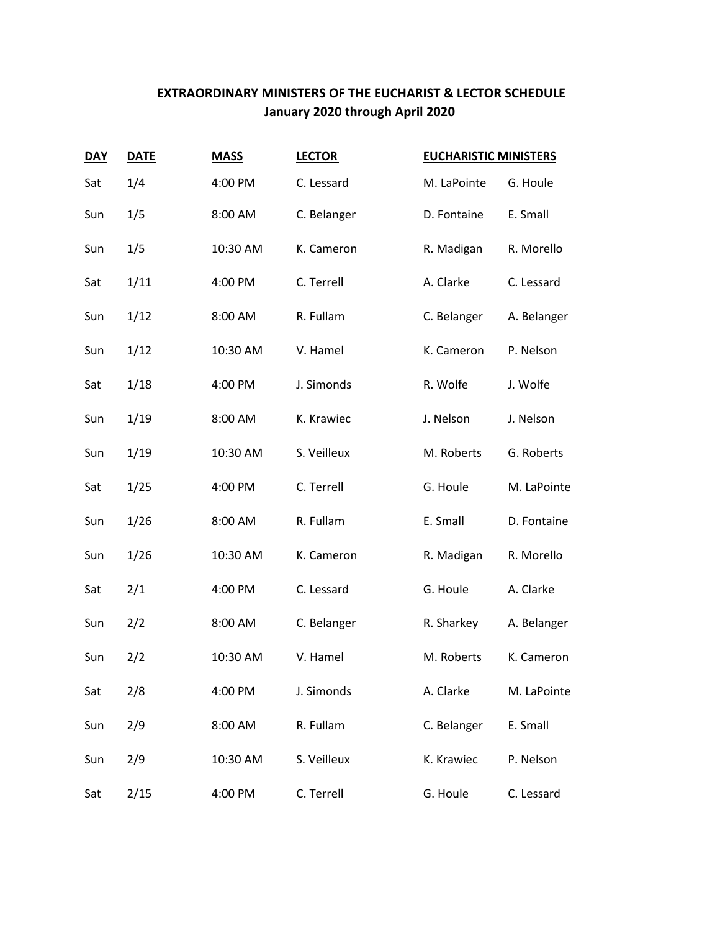## **EXTRAORDINARY MINISTERS OF THE EUCHARIST & LECTOR SCHEDULE January 2020 through April 2020**

| <b>DAY</b> | <b>DATE</b> | <b>MASS</b> | <b>LECTOR</b> | <b>EUCHARISTIC MINISTERS</b> |             |
|------------|-------------|-------------|---------------|------------------------------|-------------|
| Sat        | 1/4         | 4:00 PM     | C. Lessard    | M. LaPointe                  | G. Houle    |
| Sun        | 1/5         | 8:00 AM     | C. Belanger   | D. Fontaine                  | E. Small    |
| Sun        | 1/5         | 10:30 AM    | K. Cameron    | R. Madigan                   | R. Morello  |
| Sat        | 1/11        | 4:00 PM     | C. Terrell    | A. Clarke                    | C. Lessard  |
| Sun        | 1/12        | 8:00 AM     | R. Fullam     | C. Belanger                  | A. Belanger |
| Sun        | 1/12        | 10:30 AM    | V. Hamel      | K. Cameron                   | P. Nelson   |
| Sat        | 1/18        | 4:00 PM     | J. Simonds    | R. Wolfe                     | J. Wolfe    |
| Sun        | 1/19        | 8:00 AM     | K. Krawiec    | J. Nelson                    | J. Nelson   |
| Sun        | 1/19        | 10:30 AM    | S. Veilleux   | M. Roberts                   | G. Roberts  |
| Sat        | 1/25        | 4:00 PM     | C. Terrell    | G. Houle                     | M. LaPointe |
| Sun        | 1/26        | 8:00 AM     | R. Fullam     | E. Small                     | D. Fontaine |
| Sun        | 1/26        | 10:30 AM    | K. Cameron    | R. Madigan                   | R. Morello  |
| Sat        | 2/1         | 4:00 PM     | C. Lessard    | G. Houle                     | A. Clarke   |
| Sun        | 2/2         | 8:00 AM     | C. Belanger   | R. Sharkey                   | A. Belanger |
| Sun        | 2/2         | 10:30 AM    | V. Hamel      | M. Roberts                   | K. Cameron  |
| Sat        | 2/8         | 4:00 PM     | J. Simonds    | A. Clarke                    | M. LaPointe |
| Sun        | 2/9         | 8:00 AM     | R. Fullam     | C. Belanger                  | E. Small    |
| Sun        | 2/9         | 10:30 AM    | S. Veilleux   | K. Krawiec                   | P. Nelson   |
| Sat        | 2/15        | 4:00 PM     | C. Terrell    | G. Houle                     | C. Lessard  |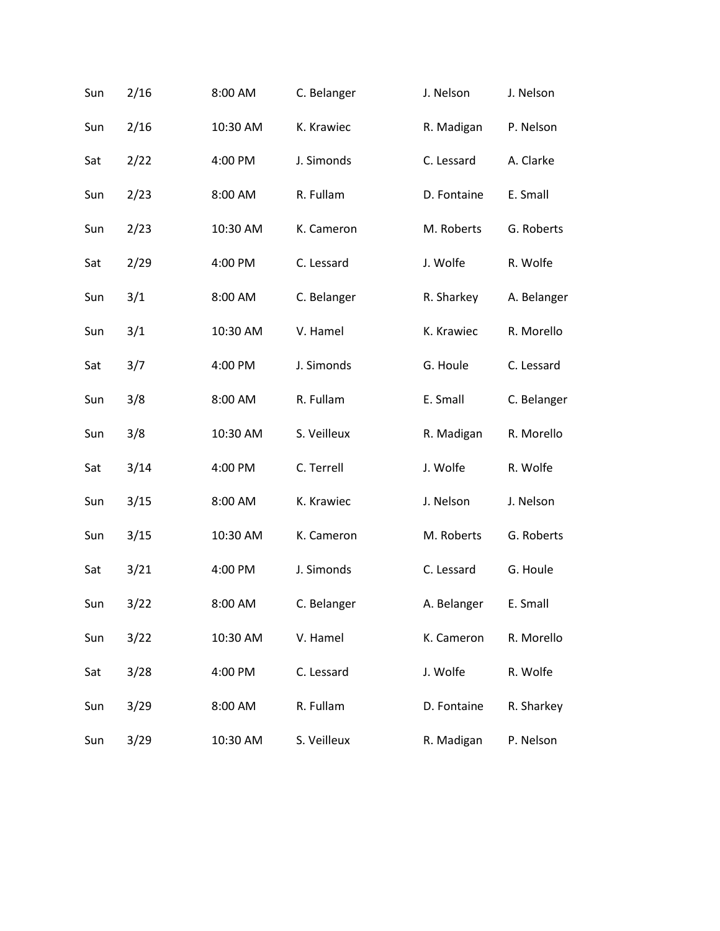| Sun | 2/16 | 8:00 AM  | C. Belanger | J. Nelson   | J. Nelson   |
|-----|------|----------|-------------|-------------|-------------|
| Sun | 2/16 | 10:30 AM | K. Krawiec  | R. Madigan  | P. Nelson   |
| Sat | 2/22 | 4:00 PM  | J. Simonds  | C. Lessard  | A. Clarke   |
| Sun | 2/23 | 8:00 AM  | R. Fullam   | D. Fontaine | E. Small    |
| Sun | 2/23 | 10:30 AM | K. Cameron  | M. Roberts  | G. Roberts  |
| Sat | 2/29 | 4:00 PM  | C. Lessard  | J. Wolfe    | R. Wolfe    |
| Sun | 3/1  | 8:00 AM  | C. Belanger | R. Sharkey  | A. Belanger |
| Sun | 3/1  | 10:30 AM | V. Hamel    | K. Krawiec  | R. Morello  |
| Sat | 3/7  | 4:00 PM  | J. Simonds  | G. Houle    | C. Lessard  |
| Sun | 3/8  | 8:00 AM  | R. Fullam   | E. Small    | C. Belanger |
| Sun | 3/8  | 10:30 AM | S. Veilleux | R. Madigan  | R. Morello  |
| Sat | 3/14 | 4:00 PM  | C. Terrell  | J. Wolfe    | R. Wolfe    |
| Sun | 3/15 | 8:00 AM  | K. Krawiec  | J. Nelson   | J. Nelson   |
| Sun | 3/15 | 10:30 AM | K. Cameron  | M. Roberts  | G. Roberts  |
| Sat | 3/21 | 4:00 PM  | J. Simonds  | C. Lessard  | G. Houle    |
| Sun | 3/22 | 8:00 AM  | C. Belanger | A. Belanger | E. Small    |
| Sun | 3/22 | 10:30 AM | V. Hamel    | K. Cameron  | R. Morello  |
| Sat | 3/28 | 4:00 PM  | C. Lessard  | J. Wolfe    | R. Wolfe    |
| Sun | 3/29 | 8:00 AM  | R. Fullam   | D. Fontaine | R. Sharkey  |
| Sun | 3/29 | 10:30 AM | S. Veilleux | R. Madigan  | P. Nelson   |